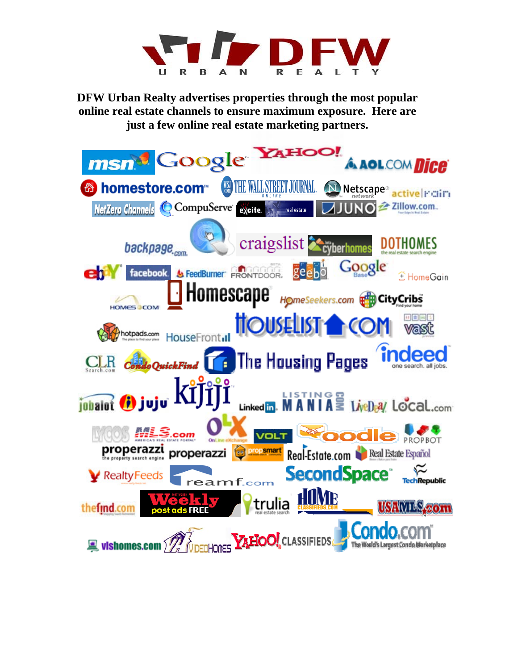

**DFW Urban Realty advertises properties through the most popular online real estate channels to ensure maximum exposure. Here are just a few online real estate marketing partners.**